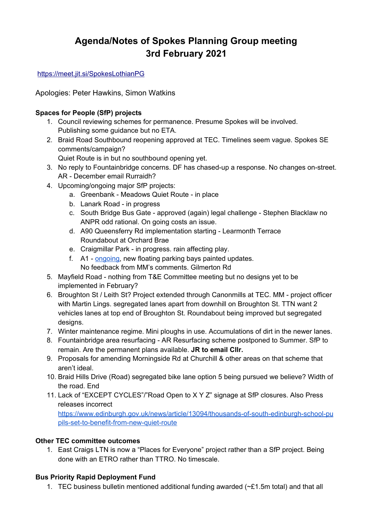# **Agenda/Notes of Spokes Planning Group meeting 3rd February 2021**

<https://meet.jit.si/SpokesLothianPG>

Apologies: Peter Hawkins, Simon Watkins

#### **Spaces for People (SfP) projects**

- 1. Council reviewing schemes for permanence. Presume Spokes will be involved. Publishing some guidance but no ETA.
- 2. Braid Road Southbound reopening approved at TEC. Timelines seem vague. Spokes SE comments/campaign?

Quiet Route is in but no southbound opening yet.

- 3. No reply to Fountainbridge concerns. DF has chased-up a response. No changes on-street. AR - December email Rurraidh?
- 4. Upcoming/ongoing major SfP projects:
	- a. Greenbank Meadows Quiet Route in place
	- b. Lanark Road in progress
	- c. South Bridge Bus Gate approved (again) legal challenge Stephen Blacklaw no ANPR odd rational. On going costs an issue.
	- d. A90 Queensferry Rd implementation starting Learmonth Terrace Roundabout at Orchard Brae
	- e. Craigmillar Park in progress. rain affecting play.
	- f. A1 [ongoing](https://twitter.com/jonnyed55/status/1355531988007055369?s=20), new floating parking bays painted updates. No feedback from MM's comments. Gilmerton Rd
- 5. Mayfield Road nothing from T&E Committee meeting but no designs yet to be implemented in February?
- 6. Broughton St / Leith St? Project extended through Canonmills at TEC. MM project officer with Martin Lings. segregated lanes apart from downhill on Broughton St. TTN want 2 vehicles lanes at top end of Broughton St. Roundabout being improved but segregated designs.
- 7. Winter maintenance regime. Mini ploughs in use. Accumulations of dirt in the newer lanes.
- 8. Fountainbridge area resurfacing AR Resurfacing scheme postponed to Summer. SfP to remain. Are the permanent plans available. **JR to email Cllr.**
- 9. Proposals for amending Morningside Rd at Churchill & other areas on that scheme that aren't ideal.
- 10. Braid Hills Drive (Road) segregated bike lane option 5 being pursued we believe? Width of the road. End
- 11. Lack of "EXCEPT CYCLES"/"Road Open to X Y Z" signage at SfP closures. Also Press releases incorrect

[https://www.edinburgh.gov.uk/news/article/13094/thousands-of-south-edinburgh-school-pu](https://www.edinburgh.gov.uk/news/article/13094/thousands-of-south-edinburgh-school-pupils-set-to-benefit-from-new-quiet-route) [pils-set-to-benefit-from-new-quiet-route](https://www.edinburgh.gov.uk/news/article/13094/thousands-of-south-edinburgh-school-pupils-set-to-benefit-from-new-quiet-route)

#### **Other TEC committee outcomes**

1. East Craigs LTN is now a "Places for Everyone" project rather than a SfP project. Being done with an ETRO rather than TTRO. No timescale.

# **Bus Priority Rapid Deployment Fund**

1. TEC business bulletin mentioned additional funding awarded  $(\sim £1.5$ m total) and that all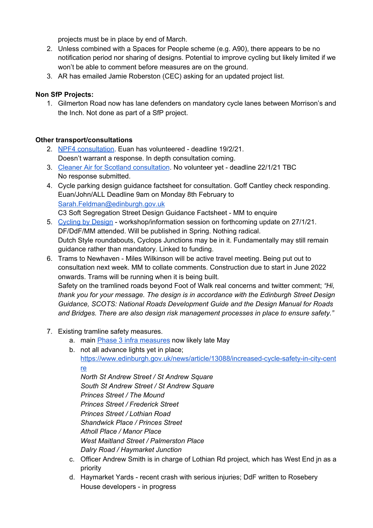projects must be in place by end of March.

- 2. Unless combined with a Spaces for People scheme (e.g. A90), there appears to be no notification period nor sharing of designs. Potential to improve cycling but likely limited if we won't be able to comment before measures are on the ground.
- 3. AR has emailed Jamie Roberston (CEC) asking for an updated project list.

#### **Non SfP Projects:**

1. Gilmerton Road now has lane defenders on mandatory cycle lanes between Morrison's and the Inch. Not done as part of a SfP project.

#### **Other transport/consultations**

- 2. NPF4 [consultation](https://consult.gov.scot/planning-architecture/national-planning-framework-position-statement/). Euan has volunteered deadline 19/2/21. Doesn't warrant a response. In depth consultation coming.
- 3. Cleaner Air for Scotland [consultation](https://consult.gov.scot/environmental-quality/cleaner-air-for-scotland-2/). No volunteer yet deadline 22/1/21 TBC No response submitted.
- 4. Cycle parking design guidance factsheet for consultation. Goff Cantley check responding. Euan/John/ALL Deadline 9am on Monday 8th February to [Sarah.Feldman@edinburgh.gov.uk](mailto:Sarah.Feldman@edinburgh.gov.uk) C3 Soft Segregation Street Design Guidance Factsheet - MM to enquire
- 5. [Cycling](https://www.transport.gov.scot/media/14173/cycling_by_design_2010__rev_1__june_2011_.pdf) by Design workshop/information session on forthcoming update on 27/1/21. DF/DdF/MM attended. Will be published in Spring. Nothing radical. Dutch Style roundabouts, Cyclops Junctions may be in it. Fundamentally may still remain guidance rather than mandatory. Linked to funding.
- 6. Trams to Newhaven Miles Wilkinson will be active travel meeting. Being put out to consultation next week. MM to collate comments. Construction due to start in June 2022 onwards. Trams will be running when it is being built. Safety on the tramlined roads beyond Foot of Walk real concerns and twitter comment; *"Hi, thank you for your message. The design is in accordance with the Edinburgh Street Design Guidance, SCOTS: National Roads Development Guide and the Design Manual for Roads*
	- *and Bridges. There are also design risk management processes in place to ensure safety."*
- 7. Existing tramline safety measures.
	- a. mai[n](http://www.spokes.org.uk/wp-content/uploads/2018/07/1805-consultn-report-tramcyclesafetyimprovementsph.3consultationreport.pdf) Phase 3 infra [measures](http://www.spokes.org.uk/wp-content/uploads/2018/07/1805-consultn-report-tramcyclesafetyimprovementsph.3consultationreport.pdf) now likely late May
	- b. not all advance lights yet in place; [https://www.edinburgh.gov.uk/news/article/13088/increased-cycle-safety-in-city-cent](https://www.edinburgh.gov.uk/news/article/13088/increased-cycle-safety-in-city-centre) [re](https://www.edinburgh.gov.uk/news/article/13088/increased-cycle-safety-in-city-centre)

*North St Andrew Street / St Andrew Square South St Andrew Street / St Andrew Square Princes Street / The Mound Princes Street / Frederick Street Princes Street / Lothian Road Shandwick Place / Princes Street Atholl Place / Manor Place West Maitland Street / Palmerston Place Dalry Road / Haymarket Junction*

- c. Officer Andrew Smith is in charge of Lothian Rd project, which has West End jn as a priority
- d. Haymarket Yards recent crash with serious injuries; DdF written to Rosebery House developers - in progress